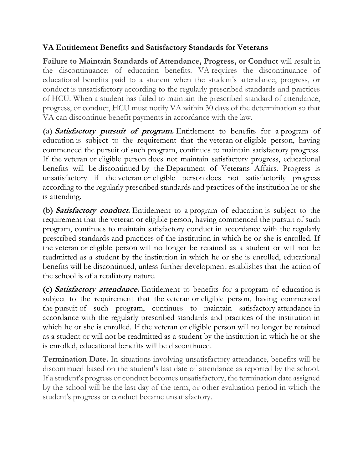# **VA Entitlement Benefits and Satisfactory Standards for Veterans**

**Failure to Maintain Standards of Attendance, Progress, or Conduct** will result in the discontinuance: of education benefits. VA requires the discontinuance of educational benefits paid to a student when the student's attendance, progress, or conduct is unsatisfactory according to the regularly prescribed standards and practices of HCU. When a student has failed to maintain the prescribed standard of attendance, progress, or conduct, HCU must notify VA within 30 days of the determination so that VA can discontinue benefit payments in accordance with the law.

**(a) Satisfactory pursuit of program.** Entitlement to benefits for a program of education is subject to the requirement that the veteran or eligible person, having commenced the pursuit of such program, continues to maintain satisfactory progress. If the veteran or eligible person does not maintain satisfactory progress, educational benefits will be discontinued by the Department of Veterans Affairs. Progress is unsatisfactory if the veteran or eligible person does not satisfactorily progress according to the regularly prescribed standards and practices of the institution he or she is attending.

**(b) Satisfactory conduct.** Entitlement to a program of education is subject to the requirement that the veteran or eligible person, having commenced the pursuit of such program, continues to maintain satisfactory conduct in accordance with the regularly prescribed standards and practices of the institution in which he or she is enrolled. If the veteran or eligible person will no longer be retained as a student or will not be readmitted as a student by the institution in which he or she is enrolled, educational benefits will be discontinued, unless further development establishes that the action of the school is of a retaliatory nature.

**(c) Satisfactory attendance.** Entitlement to benefits for a program of education is subject to the requirement that the veteran or eligible person, having commenced the pursuit of such program, continues to maintain satisfactory attendance in accordance with the regularly prescribed standards and practices of the institution in which he or she is enrolled. If the veteran or eligible person will no longer be retained as a student or will not be readmitted as a student by the institution in which he or she is enrolled, educational benefits will be discontinued.

**Termination Date.** In situations involving unsatisfactory attendance, benefits will be discontinued based on the student's last date of attendance as reported by the school. If a student's progress or conduct becomes unsatisfactory, the termination date assigned by the school will be the last day of the term, or other evaluation period in which the student's progress or conduct became unsatisfactory.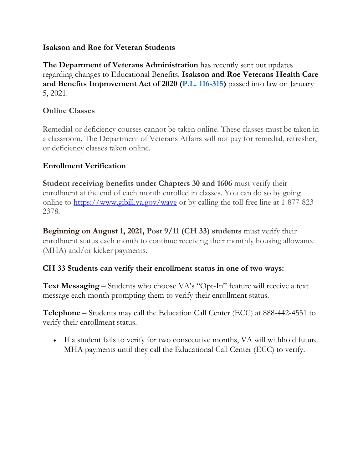#### **Isakson and Roe for Veteran Students**

**The Department of Veterans Administration** has recently sent out updates regarding changes to Educational Benefits. **Isakson and Roe Veterans Health Care and Benefits Improvement Act of 2020 (P.L. [116-315\)](https://www.congress.gov/bill/116th-congress/house-bill/7105/text)** passed into law on January 5, 2021.

## **Online Classes**

Remedial or deficiency courses cannot be taken online. These classes must be taken in a classroom. The Department of Veterans Affairs will not pay for remedial, refresher, or deficiency classes taken online.

# **Enrollment Verification**

**Student receiving benefits under Chapters 30 and 1606** must verify their enrollment at the end of each month enrolled in classes. You can do so by going online to <https://www.gibill.va.gov/wave> or by calling the toll free line at 1-877-823-2378.

**Beginning on August 1, 2021, Post 9/11 (CH 33) students** must verify their enrollment status each month to continue receiving their monthly housing allowance (MHA) and/or kicker payments.

### **CH 33 Students can verify their enrollment status in one of two ways:**

**Text Messaging** – Students who choose VA's "Opt-In" feature will receive a text message each month prompting them to verify their enrollment status.

**Telephone** – Students may call the Education Call Center (ECC) at 888-442-4551 to verify their enrollment status.

• If a student fails to verify for two consecutive months, VA will withhold future MHA payments until they call the Educational Call Center (ECC) to verify.